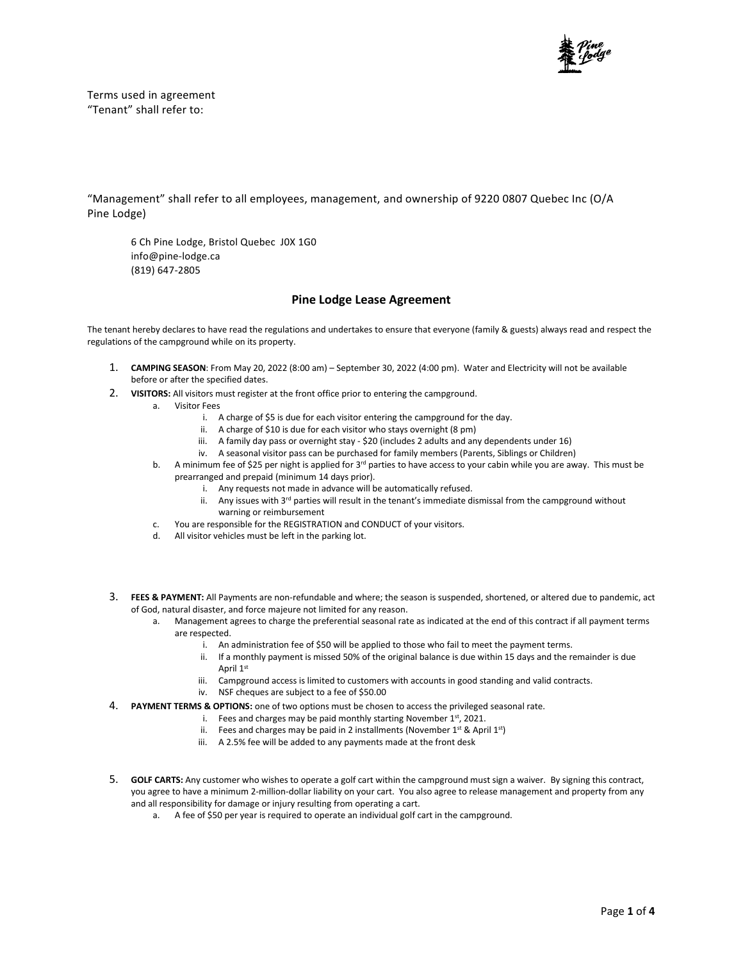

Terms used in agreement "Tenant" shall refer to:

"Management" shall refer to all employees, management, and ownership of 9220 0807 Quebec Inc (O/A Pine Lodge)

6 Ch Pine Lodge, Bristol Quebec J0X 1G0 info@pine-lodge.ca (819) 647-2805

## **Pine Lodge Lease Agreement**

The tenant hereby declares to have read the regulations and undertakes to ensure that everyone (family & guests) always read and respect the regulations of the campground while on its property.

- 1. **CAMPING SEASON**: From May 20, 2022 (8:00 am) September 30, 2022 (4:00 pm). Water and Electricity will not be available before or after the specified dates.
- 2. **VISITORS:** All visitors must register at the front office prior to entering the campground.
	- a. Visitor Fees
		- i. A charge of \$5 is due for each visitor entering the campground for the day.
		- ii. A charge of \$10 is due for each visitor who stays overnight (8 pm)
		- iii. A family day pass or overnight stay \$20 (includes 2 adults and any dependents under 16)
		- iv. A seasonal visitor pass can be purchased for family members (Parents, Siblings or Children)
		- b. A minimum fee of \$25 per night is applied for 3<sup>rd</sup> parties to have access to your cabin while you are away. This must be prearranged and prepaid (minimum 14 days prior).
			- i. Any requests not made in advance will be automatically refused.
			- ii. Any issues with 3<sup>rd</sup> parties will result in the tenant's immediate dismissal from the campground without warning or reimbursement
		- c. You are responsible for the REGISTRATION and CONDUCT of your visitors.
		- d. All visitor vehicles must be left in the parking lot.
- 3. **FEES & PAYMENT:** All Payments are non-refundable and where; the season is suspended, shortened, or altered due to pandemic, act of God, natural disaster, and force majeure not limited for any reason.
	- a. Management agrees to charge the preferential seasonal rate as indicated at the end of this contract if all payment terms are respected.
		- i. An administration fee of \$50 will be applied to those who fail to meet the payment terms.
		- ii. If a monthly payment is missed 50% of the original balance is due within 15 days and the remainder is due April 1st
		- iii. Campground access is limited to customers with accounts in good standing and valid contracts.
		- iv. NSF cheques are subject to a fee of \$50.00
- 4. **PAYMENT TERMS & OPTIONS:** one of two options must be chosen to access the privileged seasonal rate.
	- i. Fees and charges may be paid monthly starting November  $1^{st}$ , 2021.
	- ii. Fees and charges may be paid in 2 installments (November  $1^{st}$  & April  $1^{st}$ )
	- iii. A 2.5% fee will be added to any payments made at the front desk
- 5. **GOLF CARTS:** Any customer who wishes to operate a golf cart within the campground must sign a waiver. By signing this contract, you agree to have a minimum 2-million-dollar liability on your cart. You also agree to release management and property from any and all responsibility for damage or injury resulting from operating a cart.
	- a. A fee of \$50 per year is required to operate an individual golf cart in the campground.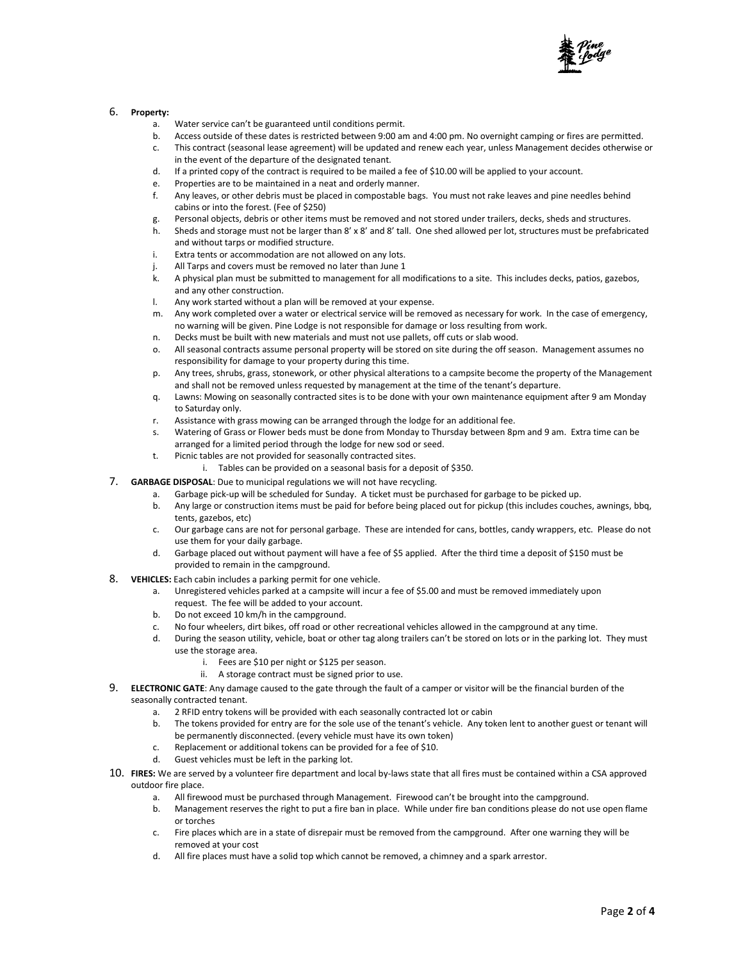

#### 6. **Property:**

- a. Water service can't be guaranteed until conditions permit.
- b. Access outside of these dates is restricted between 9:00 am and 4:00 pm. No overnight camping or fires are permitted.
- c. This contract (seasonal lease agreement) will be updated and renew each year, unless Management decides otherwise or in the event of the departure of the designated tenant.
- d. If a printed copy of the contract is required to be mailed a fee of \$10.00 will be applied to your account.
- e. Properties are to be maintained in a neat and orderly manner.
- f. Any leaves, or other debris must be placed in compostable bags. You must not rake leaves and pine needles behind cabins or into the forest. (Fee of \$250)
- g. Personal objects, debris or other items must be removed and not stored under trailers, decks, sheds and structures.
- h. Sheds and storage must not be larger than 8' x 8' and 8' tall. One shed allowed per lot, structures must be prefabricated and without tarps or modified structure.
- i. Extra tents or accommodation are not allowed on any lots.
- j. All Tarps and covers must be removed no later than June 1<br>k. A physical plan must be submitted to management for all m
- k. A physical plan must be submitted to management for all modifications to a site. This includes decks, patios, gazebos, and any other construction.
- l. Any work started without a plan will be removed at your expense.
- m. Any work completed over a water or electrical service will be removed as necessary for work. In the case of emergency, no warning will be given. Pine Lodge is not responsible for damage or loss resulting from work.
- n. Decks must be built with new materials and must not use pallets, off cuts or slab wood.
- o. All seasonal contracts assume personal property will be stored on site during the off season. Management assumes no responsibility for damage to your property during this time.
- p. Any trees, shrubs, grass, stonework, or other physical alterations to a campsite become the property of the Management and shall not be removed unless requested by management at the time of the tenant's departure.
- q. Lawns: Mowing on seasonally contracted sites is to be done with your own maintenance equipment after 9 am Monday to Saturday only.
- r. Assistance with grass mowing can be arranged through the lodge for an additional fee.
- s. Watering of Grass or Flower beds must be done from Monday to Thursday between 8pm and 9 am. Extra time can be arranged for a limited period through the lodge for new sod or seed.
- t. Picnic tables are not provided for seasonally contracted sites.
	- i. Tables can be provided on a seasonal basis for a deposit of \$350.
- 7. **GARBAGE DISPOSAL**: Due to municipal regulations we will not have recycling.
	- a. Garbage pick-up will be scheduled for Sunday. A ticket must be purchased for garbage to be picked up.
	- b. Any large or construction items must be paid for before being placed out for pickup (this includes couches, awnings, bbq, tents, gazebos, etc)
	- c. Our garbage cans are not for personal garbage. These are intended for cans, bottles, candy wrappers, etc. Please do not use them for your daily garbage.
	- d. Garbage placed out without payment will have a fee of \$5 applied. After the third time a deposit of \$150 must be provided to remain in the campground.
- 8. **VEHICLES:** Each cabin includes a parking permit for one vehicle.
	- a. Unregistered vehicles parked at a campsite will incur a fee of \$5.00 and must be removed immediately upon request. The fee will be added to your account.
	- b. Do not exceed 10 km/h in the campground.
	- c. No four wheelers, dirt bikes, off road or other recreational vehicles allowed in the campground at any time.
	- d. During the season utility, vehicle, boat or other tag along trailers can't be stored on lots or in the parking lot. They must use the storage area.
		- i. Fees are \$10 per night or \$125 per season.
		- ii. A storage contract must be signed prior to use.
- 9. **ELECTRONIC GATE**: Any damage caused to the gate through the fault of a camper or visitor will be the financial burden of the seasonally contracted tenant.
	- a. 2 RFID entry tokens will be provided with each seasonally contracted lot or cabin
	- b. The tokens provided for entry are for the sole use of the tenant's vehicle. Any token lent to another guest or tenant will be permanently disconnected. (every vehicle must have its own token)
	- c. Replacement or additional tokens can be provided for a fee of \$10.
	- d. Guest vehicles must be left in the parking lot.
- 10. **FIRES:** We are served by a volunteer fire department and local by-laws state that all fires must be contained within a CSA approved outdoor fire place.
	- a. All firewood must be purchased through Management. Firewood can't be brought into the campground.
		- b. Management reserves the right to put a fire ban in place. While under fire ban conditions please do not use open flame or torches
		- c. Fire places which are in a state of disrepair must be removed from the campground. After one warning they will be removed at your cost
		- d. All fire places must have a solid top which cannot be removed, a chimney and a spark arrestor.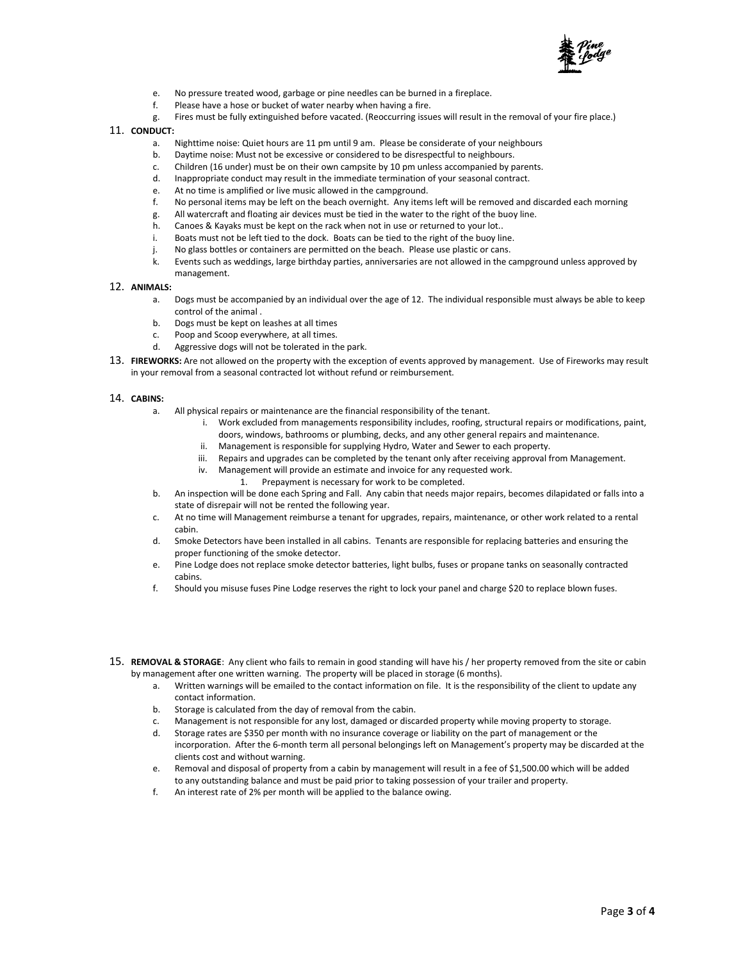

- e. No pressure treated wood, garbage or pine needles can be burned in a fireplace.
- f. Please have a hose or bucket of water nearby when having a fire.
- g. Fires must be fully extinguished before vacated. (Reoccurring issues will result in the removal of your fire place.)
- 11. **CONDUCT:**
	- a. Nighttime noise: Quiet hours are 11 pm until 9 am. Please be considerate of your neighbours
	- b. Daytime noise: Must not be excessive or considered to be disrespectful to neighbours.
	- c. Children (16 under) must be on their own campsite by 10 pm unless accompanied by parents.
	- d. Inappropriate conduct may result in the immediate termination of your seasonal contract.
	- e. At no time is amplified or live music allowed in the campground.
	- f. No personal items may be left on the beach overnight. Any items left will be removed and discarded each morning
	- g. All watercraft and floating air devices must be tied in the water to the right of the buoy line.
	- h. Canoes & Kayaks must be kept on the rack when not in use or returned to your lot..
	- i. Boats must not be left tied to the dock. Boats can be tied to the right of the buoy line.
	- j. No glass bottles or containers are permitted on the beach. Please use plastic or cans.
	- k. Events such as weddings, large birthday parties, anniversaries are not allowed in the campground unless approved by management.
- 12. **ANIMALS:**
	- a. Dogs must be accompanied by an individual over the age of 12. The individual responsible must always be able to keep control of the animal .
	- b. Dogs must be kept on leashes at all times
	- c. Poop and Scoop everywhere, at all times.
	- d. Aggressive dogs will not be tolerated in the park.
- 13. **FIREWORKS:** Are not allowed on the property with the exception of events approved by management. Use of Fireworks may result in your removal from a seasonal contracted lot without refund or reimbursement.

#### 14. **CABINS:**

- a. All physical repairs or maintenance are the financial responsibility of the tenant.
	- i. Work excluded from managements responsibility includes, roofing, structural repairs or modifications, paint, doors, windows, bathrooms or plumbing, decks, and any other general repairs and maintenance.
	- ii. Management is responsible for supplying Hydro, Water and Sewer to each property.
	- iii. Repairs and upgrades can be completed by the tenant only after receiving approval from Management.
	- iv. Management will provide an estimate and invoice for any requested work.
		- 1. Prepayment is necessary for work to be completed.
- b. An inspection will be done each Spring and Fall. Any cabin that needs major repairs, becomes dilapidated or falls into a state of disrepair will not be rented the following year.
- c. At no time will Management reimburse a tenant for upgrades, repairs, maintenance, or other work related to a rental cabin.
- d. Smoke Detectors have been installed in all cabins. Tenants are responsible for replacing batteries and ensuring the proper functioning of the smoke detector.
- e. Pine Lodge does not replace smoke detector batteries, light bulbs, fuses or propane tanks on seasonally contracted cabins.
- f. Should you misuse fuses Pine Lodge reserves the right to lock your panel and charge \$20 to replace blown fuses.
- 15. **REMOVAL & STORAGE**: Any client who fails to remain in good standing will have his / her property removed from the site or cabin by management after one written warning. The property will be placed in storage (6 months).
	- a. Written warnings will be emailed to the contact information on file. It is the responsibility of the client to update any contact information.
	- b. Storage is calculated from the day of removal from the cabin.
	- c. Management is not responsible for any lost, damaged or discarded property while moving property to storage.
	- d. Storage rates are \$350 per month with no insurance coverage or liability on the part of management or the incorporation. After the 6-month term all personal belongings left on Management's property may be discarded at the clients cost and without warning.
	- e. Removal and disposal of property from a cabin by management will result in a fee of \$1,500.00 which will be added to any outstanding balance and must be paid prior to taking possession of your trailer and property.
	- f. An interest rate of 2% per month will be applied to the balance owing.